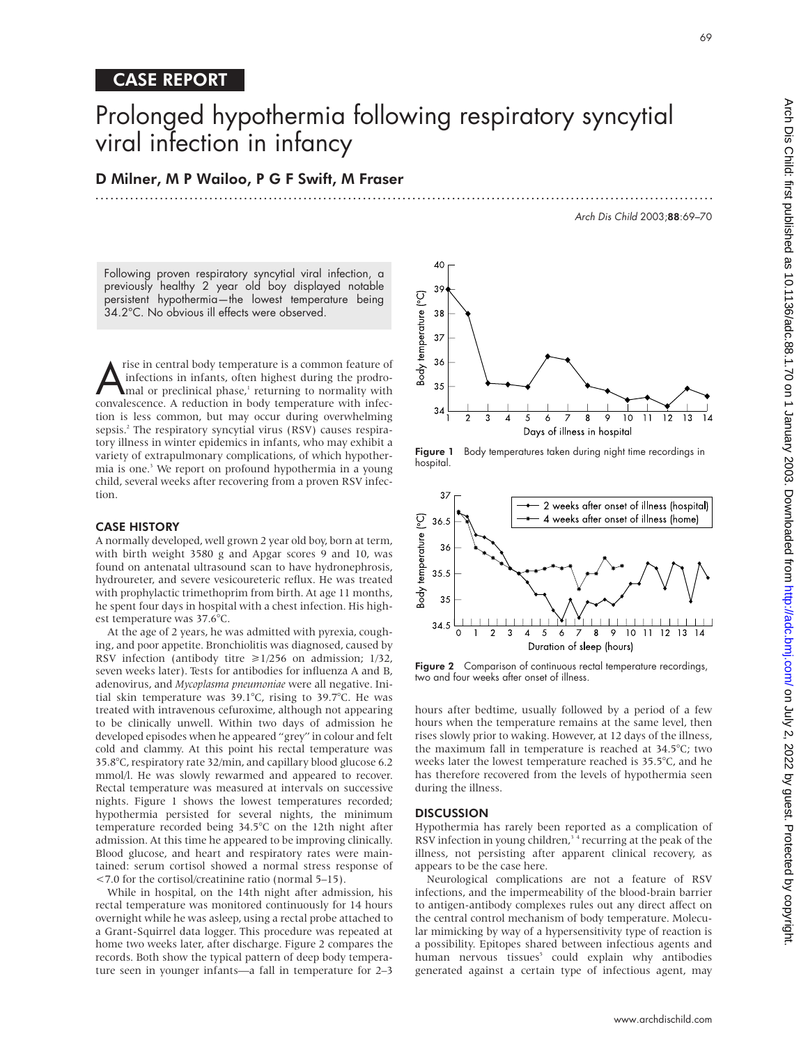# Prolonged hypothermia following respiratory syncytial viral infection in infancy

D Milner, M P Wailoo, P G F Swift, M Fraser

Arch Dis Child 2003;88:69–70

Following proven respiratory syncytial viral infection, a previously healthy 2 year old boy displayed notable persistent hypothermia—the lowest temperature being 34.2°C. No obvious ill effects were observed.

The in central body temperature is a common feature of<br>
infections in infants, often highest during the prodro-<br>
mal or preclinical phase,<sup>1</sup> returning to normality with<br>
convalescence A reduction in body temperature with infections in infants, often highest during the prodroconvalescence. A reduction in body temperature with infection is less common, but may occur during overwhelming sepsis.<sup>2</sup> The respiratory syncytial virus (RSV) causes respiratory illness in winter epidemics in infants, who may exhibit a variety of extrapulmonary complications, of which hypothermia is one.<sup>3</sup> We report on profound hypothermia in a young child, several weeks after recovering from a proven RSV infection.

### CASE HISTORY

A normally developed, well grown 2 year old boy, born at term, with birth weight 3580 g and Apgar scores 9 and 10, was found on antenatal ultrasound scan to have hydronephrosis, hydroureter, and severe vesicoureteric reflux. He was treated with prophylactic trimethoprim from birth. At age 11 months, he spent four days in hospital with a chest infection. His highest temperature was 37.6°C.

At the age of 2 years, he was admitted with pyrexia, coughing, and poor appetite. Bronchiolitis was diagnosed, caused by RSV infection (antibody titre  $\geq 1/256$  on admission; 1/32, seven weeks later). Tests for antibodies for influenza A and B, adenovirus, and *Mycoplasma pneumoniae* were all negative. Initial skin temperature was 39.1°C, rising to 39.7°C. He was treated with intravenous cefuroxime, although not appearing to be clinically unwell. Within two days of admission he developed episodes when he appeared "grey" in colour and felt cold and clammy. At this point his rectal temperature was 35.8°C, respiratory rate 32/min, and capillary blood glucose 6.2 mmol/l. He was slowly rewarmed and appeared to recover. Rectal temperature was measured at intervals on successive nights. Figure 1 shows the lowest temperatures recorded; hypothermia persisted for several nights, the minimum temperature recorded being 34.5°C on the 12th night after admission. At this time he appeared to be improving clinically. Blood glucose, and heart and respiratory rates were maintained: serum cortisol showed a normal stress response of <7.0 for the cortisol/creatinine ratio (normal 5–15).

While in hospital, on the 14th night after admission, his rectal temperature was monitored continuously for 14 hours overnight while he was asleep, using a rectal probe attached to a Grant-Squirrel data logger. This procedure was repeated at home two weeks later, after discharge. Figure 2 compares the records. Both show the typical pattern of deep body temperature seen in younger infants—a fall in temperature for 2–3



.............................................................................................................................

Figure 1 Body temperatures taken during night time recordings in hospital.



Figure 2 Comparison of continuous rectal temperature recordings, two and four weeks after onset of illness.

hours after bedtime, usually followed by a period of a few hours when the temperature remains at the same level, then rises slowly prior to waking. However, at 12 days of the illness, the maximum fall in temperature is reached at 34.5°C; two weeks later the lowest temperature reached is 35.5°C, and he has therefore recovered from the levels of hypothermia seen during the illness.

## **DISCUSSION**

Hypothermia has rarely been reported as a complication of RSV infection in young children,<sup>34</sup> recurring at the peak of the illness, not persisting after apparent clinical recovery, as appears to be the case here.

Neurological complications are not a feature of RSV infections, and the impermeability of the blood-brain barrier to antigen-antibody complexes rules out any direct affect on the central control mechanism of body temperature. Molecular mimicking by way of a hypersensitivity type of reaction is a possibility. Epitopes shared between infectious agents and human nervous tissues<sup>5</sup> could explain why antibodies generated against a certain type of infectious agent, may